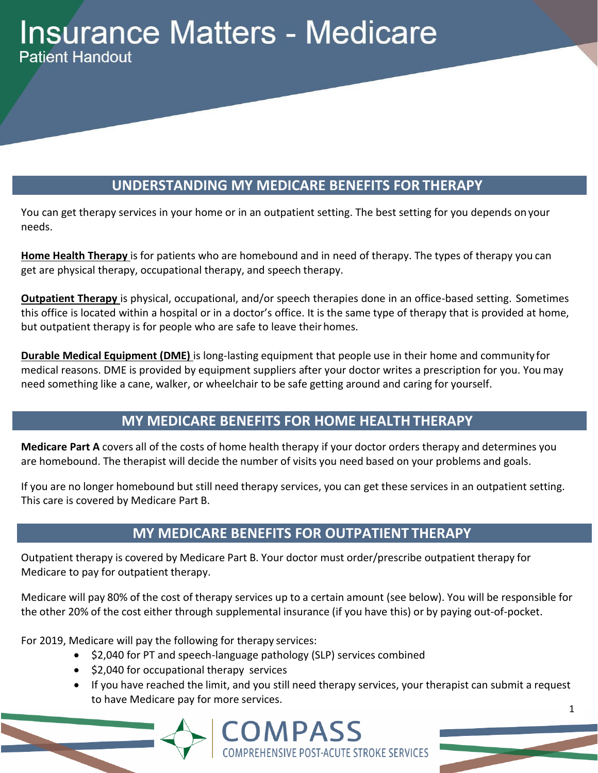# **Insurance Matters - Medicare Patient Handout**

# **UNDERSTANDING MY MEDICARE BENEFITS FOR THERAPY**

You can get therapy services in your home or in an outpatient setting. The best setting for you depends onyour needs.

**Home Health Therapy** is for patients who are homebound and in need of therapy. The types of therapy you can get are physical therapy, occupational therapy, and speech therapy.

**Outpatient Therapy** is physical, occupational, and/or speech therapies done in an office-based setting. Sometimes this office is located within a hospital or in a doctor's office. It is the same type of therapy that is provided at home, but outpatient therapy is for people who are safe to leave their homes.

**Durable Medical Equipment (DME)** is long-lasting equipment that people use in their home and community for medical reasons. DME is provided by equipment suppliers after your doctor writes a prescription for you. You may need something like a cane, walker, or wheelchair to be safe getting around and caring for yourself.

## **MY MEDICARE BENEFITS FOR HOME HEALTHTHERAPY**

**Medicare Part A** covers all of the costs of home health therapy if your doctor orders therapy and determines you are homebound. The therapist will decide the number of visits you need based on your problems and goals.

If you are no longer homebound but still need therapy services, you can get these services in an outpatient setting. This care is covered by Medicare Part B.

## **MY MEDICARE BENEFITS FOR OUTPATIENT THERAPY**

Outpatient therapy is covered by Medicare Part B. Your doctor must order/prescribe outpatient therapy for Medicare to pay for outpatient therapy.

Medicare will pay 80% of the cost of therapy services up to a certain amount (see below). You will be responsible for the other 20% of the cost either through supplemental insurance (if you have this) or by paying out-of-pocket.

For 2019, Medicare will pay the following for therapy services:

- \$2,040 for PT and speech-language pathology (SLP) services combined
- \$2,040 for occupational therapy services
- If you have reached the limit, and you still need therapy services, your therapist can submit a request to have Medicare pay for more services. 1

 $\mathbf{COMPASS}\$